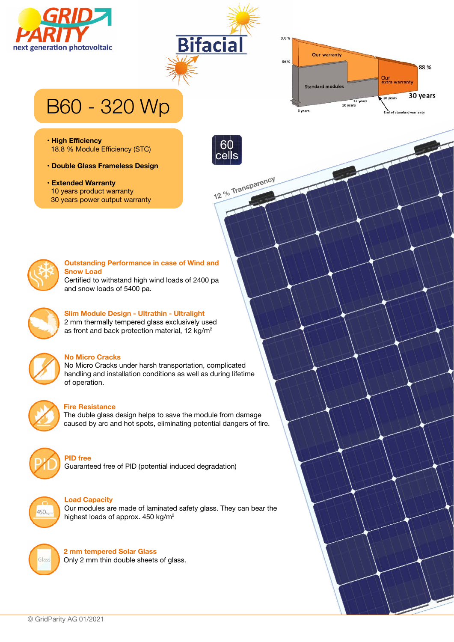





# B60 - 320 Wp

- **High Efficiency** 18.8 % Module Efficiency (STC)
- **Double Glass Frameless Design**
- **Extended Warranty** 10 years product warranty 30 years power output warranty



**12 % Transparency**



### **Outstanding Performance in case of Wind and Snow Load**

Certified to withstand high wind loads of 2400 pa and snow loads of 5400 pa.



### **Slim Module Design - Ultrathin - Ultralight**

2 mm thermally tempered glass exclusively used as front and back protection material, 12 kg/m<sup>2</sup>



### **No Micro Cracks**

No Micro Cracks under harsh transportation, complicated handling and installation conditions as well as during lifetime of operation.



### **Fire Resistance**

The duble glass design helps to save the module from damage caused by arc and hot spots, eliminating potential dangers of fire.



Guaranteed free of PID (potential induced degradation)



### **Load Capacity**

**PID free**

Our modules are made of laminated safety glass. They can bear the highest loads of approx. 450 kg/m<sup>2</sup>



**2 mm tempered Solar Glass** Only 2 mm thin double sheets of glass.